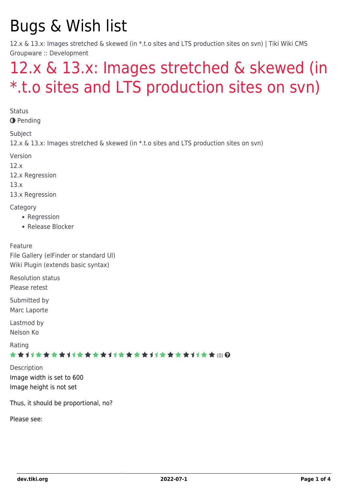# Bugs & Wish list

12.x & 13.x: Images stretched & skewed (in \*.t.o sites and LTS production sites on svn) | Tiki Wiki CMS Groupware :: Development

## [12.x & 13.x: Images stretched & skewed \(in](https://dev.tiki.org/item5355-12-x-13-x-Images-stretched-skewed-in-t-o-sites-and-LTS-production-sites-on-svn) [\\*.t.o sites and LTS production sites on svn\)](https://dev.tiki.org/item5355-12-x-13-x-Images-stretched-skewed-in-t-o-sites-and-LTS-production-sites-on-svn)

**Status** 

**O** Pending

Subject

12.x & 13.x: Images stretched & skewed (in \*.t.o sites and LTS production sites on svn)

Version

12.x

12.x Regression

13.x

13.x Regression

**Category** 

- Regression
- Release Blocker

Feature File Gallery (elFinder or standard UI) Wiki Plugin (extends basic syntax)

Resolution status Please retest

Submitted by Marc Laporte

Lastmod by Nelson Ko

Rating

\*\*\*\*\*\*\*\*\*\*\*\*\*\*\*\*\*\*\*\*\*\*\*\*\*\*\*\*\*\*\*

Description Image width is set to 600 Image height is not set

Thus, it should be proportional, no?

Please see: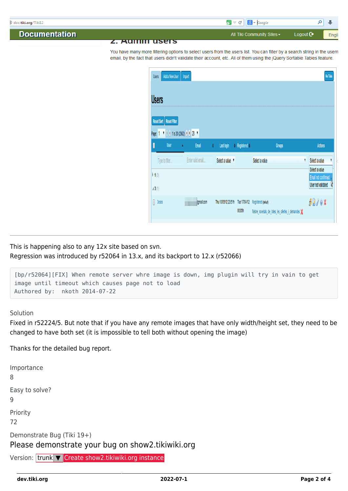

This is happening also to any 12x site based on svn. Regression was introduced by r52064 in 13.x, and its backport to 12.x (r52066)

```
[bp/r52064][FIX] When remote server whre image is down, img plugin will try in vain to get
image until timeout which causes page not to load
Authored by: nkoth 2014-07-22
```
Solution

Fixed in r52224/5. But note that if you have any remote images that have only width/height set, they need to be changed to have both set (it is impossible to tell both without opening the image)

Thanks for the detailed bug report.

```
Importance
8
Easy to solve?
9
Priority
72
Demonstrate Bug (Tiki 19+)
Please demonstrate your bug on show2.tikiwiki.org
Create show2.tikiwiki.org instance
```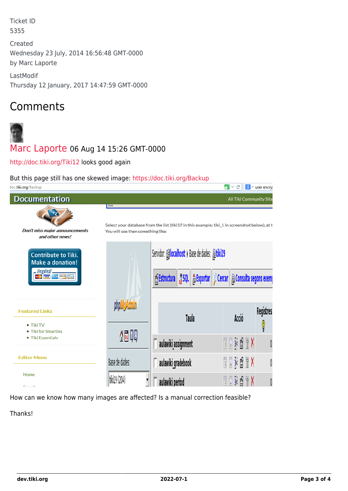Ticket ID 5355

Created Wednesday 23 July, 2014 16:56:48 GMT-0000 by Marc Laporte

LastModif Thursday 12 January, 2017 14:47:59 GMT-0000

### Comments



### [Marc Laporte](https://dev.tiki.org/user11197) 06 Aug 14 15:26 GMT-0000

<http://doc.tiki.org/Tiki12> looks good again

#### But this page still has one skewed image: <https://doc.tiki.org/Backup>

| doc.tiki.org/Backup                                                                      |                                                                                                                                            |                                                                                                                                 |                     | ⇙<br>$\triangledown$ C  | $ 8 $ = user encry |  |  |  |  |  |  |
|------------------------------------------------------------------------------------------|--------------------------------------------------------------------------------------------------------------------------------------------|---------------------------------------------------------------------------------------------------------------------------------|---------------------|-------------------------|--------------------|--|--|--|--|--|--|
| <b>Documentation</b>                                                                     |                                                                                                                                            |                                                                                                                                 |                     | All Tiki Community Site |                    |  |  |  |  |  |  |
| <b>Don't miss major announcements</b><br>and other news!                                 | Done<br>Select your database from the list (tiki19 in this example; tiki_1 in screenshot below), at t<br>You will see then something like: |                                                                                                                                 |                     |                         |                    |  |  |  |  |  |  |
| <b>Contribute to Tiki.</b><br><b>Make a donation!</b><br>. PayPal'_<br><b>CONTRACTOR</b> |                                                                                                                                            | Servidor: Glocalhost > Base de dades: 届tiki19<br>音 Estructura   ລູ SQL   출 Exportar    $\rho$ Cercar    春 Consulta segons exemp |                     |                         |                    |  |  |  |  |  |  |
| <b>Featured Links</b><br>$\bullet$ Tiki TV<br>• Tiki for Smarties                        |                                                                                                                                            |                                                                                                                                 | Taula               | Acció                   | Registres<br>Q     |  |  |  |  |  |  |
| • Tiki Essentials                                                                        | 4500                                                                                                                                       |                                                                                                                                 | aulawiki_assignment | TIMOTX                  |                    |  |  |  |  |  |  |
| <b>Editor Menu</b>                                                                       | Base de dades:                                                                                                                             |                                                                                                                                 | aulawiki_gradebook  | <b>TIKATX</b>           |                    |  |  |  |  |  |  |
| Home<br><b>Concert</b>                                                                   | tiki19 (204)                                                                                                                               |                                                                                                                                 | aulawiki period     | $+$ $*$ $*$ $*$ $*$     |                    |  |  |  |  |  |  |

How can we know how many images are affected? Is a manual correction feasible?

Thanks!